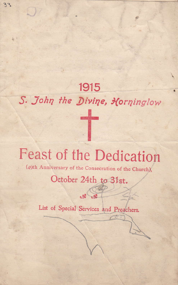# 1915 S. John the Divine, Korninglow

## **Feast of the Dedication**

(49th Anniversary of the Consecration of the Church),

## October 24th to 31st.

 $\frac{1}{2}$ 

List of Special Services and Preachers.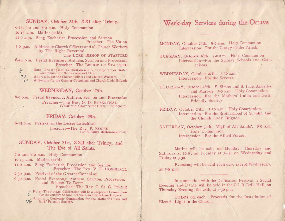#### SUNDAY, October 24th, XXI after Trinity.

6-15, 7-0 and 8-0 a.m. Holy Communion 10-15 a.m. Matins (said). II-0 a.m. Sung Eucharist, Procession and Sermon Preacher-The VICAR 3-0 p.m. Address to Church Officers and all Church Workers by The Right Reverend The LORD BISHOP OF STAFFORD 6-30 p.m. Festal Evensong, Anthem, Sermon and Procession Preacher-The BISHOP OF STAFFORD  $8$ Note-The 6-15 a.m. Celebration will be a Corporate or United Communion for the Servers and Choir.  $33$ At 7-0 a.m., for the Church Officers and Church Workers.

At 8-0 a.m for the Greater Catechism and Church Lads' Brigade  $21$ 

### WEDNESDAY, October 27th.

8-0 p.m. Festal Evensong, Anthem, Sermon and Procession Preacher-The Rev. G. D. ROSENTHAL (Vicar of S. Gregory the Great, Birmingham).

### FRIDAY, October 29th.

6-15 p.m. Festival of the Lesser Catechism Preacher-The Rev. P. ROOKS (Of S. Paul's, Burton-on-Trent).

#### SUNDAY, October 31st, XXII after Trinity, and The Eve of All Saints.

7-0 and 8-0 a.m. Holy Communion

10-15 a.m. Matins (said)

II-0 a.m. Sung Eucharist, Procession and Sermon Preacher-The Rev. V. F. HONNIBALL

2-30 p.m. Festival of the Greater Catechism

6-30 p.m. Festal Evensong, Anthem, Sermon, Procession, and Solemn Te Deum Preacher-The Rev. C. St. G. POOLE

> Note-The 7-0 a.m. Celebration will be a Corporate Communion for the Sunday School Teachers and Catechism Helpers. At 8-0 a.m. Corporate Communion for the Mothers' Union and Girls' Friendly Society.

### Week-day Services during the Octave

MONDAY, October 25th. 8-0 a.m. Holy Communion Intercession-For the Clergy of the Parish.

TUESDAY, October 26th. 7-0 a.m. Holy Communion Intercession-For the Sunday Schools and Catechisms.

WEDNESDAY, October 27th. 7-30 a.m. Intercession-For the Servers.

THURSDAY, October 28th. S. Simon and S. Jude, Apostles and Martyrs 7-0 a.m. Holy Communion Intercession-For the Mothers' Union and Girls' **Friendly Society** 

FRIDAY, October 29th. 7-30 a.m. Holy Communion Intercession-For the Brotherhood of S. John and the Church Lads' Brigade

SATURDAY, October 30th. Vigil of All Saints'. 8-0 a.m. Holy Communion Intercession-For the Allied Forces.

Matins will be said on Monday, Thursday and Saturday at 10-0; on Tuesday at 7-45; on Wednesday and Friday at 9-30.

Evensong will be said each day, except Wednesday, at 7-0 p.m.

In connection with the Dedication Festival, a Social Evening and Dance will be held in the C.L.B. Drill Hall, on Thursday Evening, the 28th, at 7-30 p.m.

Tickets 9d. each. Proceeds for the Installation of Electric Light in the Church.